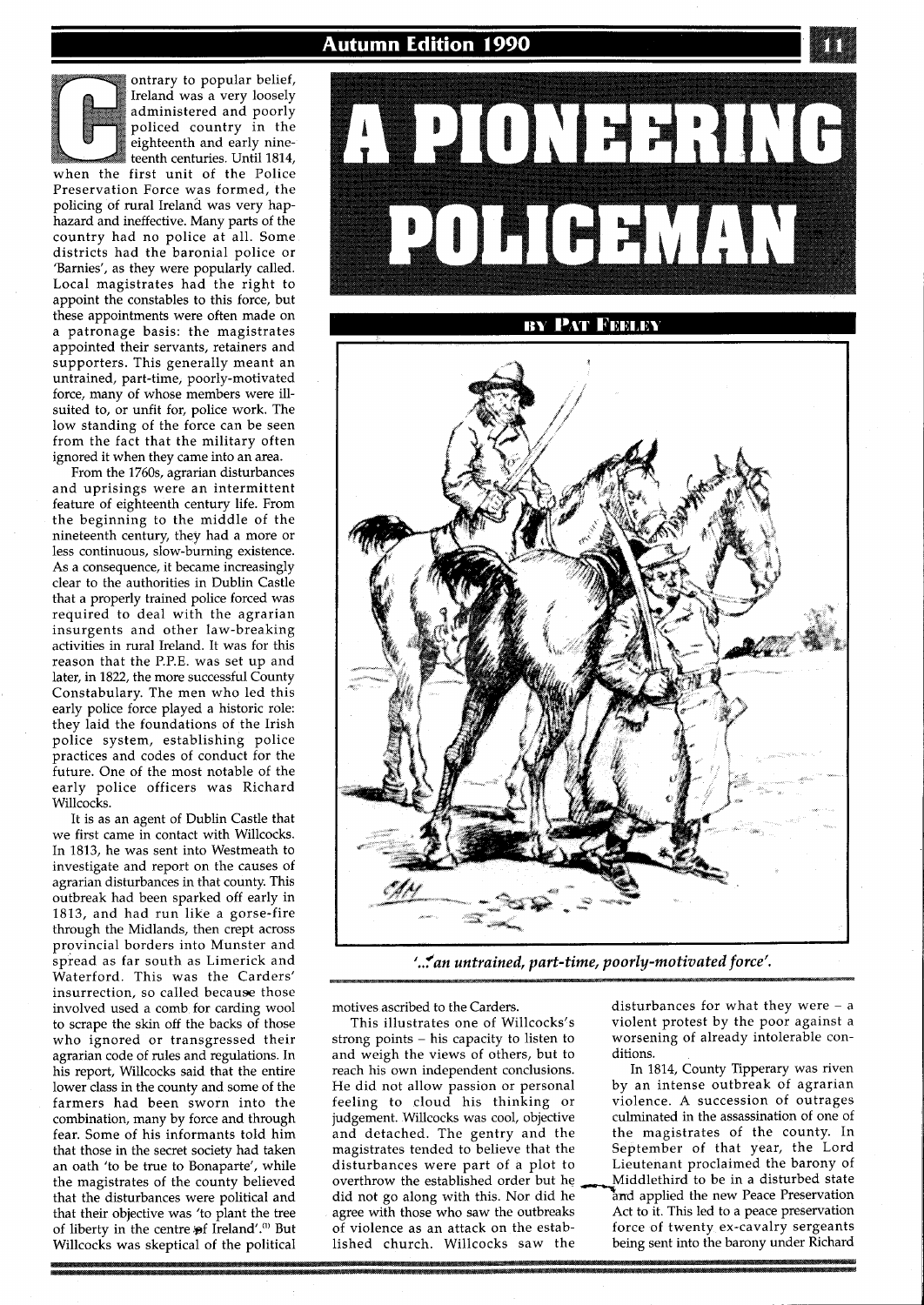**Autumn Edition 1990** 

ontrary to popular belief, Ireland was a very loosely administered and poorly policed country in the eighteenth and early nine-<br>teenth centuries. Until 1814, personal was a very loosely<br>administered and poorly<br>policed country in the<br>eighteenth and early nine-<br>teenth centuries. Until 1814,<br>when the first unit of the Police Preservation Force was formed, the policing of rural Ireland was very haphazard and ineffective. Many parts of the country had no police at all. Some districts had the baronial police or 'Barnies', as they were popularly called. Local magistrates had the right to appoint the constables to this force, but these appointments were often made on a patronage basis: the magistrates appointed their servants, retainers and supporters. This generally meant an untrained, part-time, poorly-motivated force, many of whose members were illsuited to, or unfit for, police work. The low standing of the force can be seen from the fact that the military often ignored it when they came into an area.

From the 1760s, agrarian disturbances and uprisings were an intermittent feature of eighteenth century life. From the beginning to the middle of the nineteenth century, they had a more or less continuous, slow-burning existence. As a consequence, it became increasingly clear to the authorities in Dublin Castle that a properly trained police forced was required to deal with the agrarian insurgents and other law-breaking activities in rural Ireland. It was for this reason that the P.P.E. was set up and later, in 1822, the more successful County Constabulary. The men who led this early police force played a historic role: they laid the foundations of the Irish police system, establishing police practices and codes of conduct for the future. One of the most notable of the early police officers was Richard Willcocks.

It is as an agent of Dublin Castle that we first came in contact with Willcocks. In 1813, he was sent into Westmeath to investigate and report on the causes of agrarian disturbances in that county. This outbreak had been sparked off early in 1813, and had run like a gorse-fire through the Midlands, then crept across provincial borders into Munster and spread as far south as Limerick and Waterford. This was the Carders' insurrection, so called because those involved used a comb for carding wool to scrape the skin off the backs of those who ignored or transgressed their agrarian code of rules and regulations. In his report, Willcocks said that the entire lower class in the county and some of the farmers had been sworn into the combination, many by force and through fear. Some of his informants told him that those in the secret society had taken an oath 'to be true to Bonaparte', while the magistrates of the county believed that the disturbances were political and that their objective was 'to plant the tree of liberty in the centre of Ireland'.<sup>(1)</sup> But Willcocks was skeptical of the political



*'..fan untrained, part-time, poorly-motivated force'.* 

strong points – his capacity to listen to worsening of already intolerable con-<br>and weigh the views of others, but to ditions. and weigh the views of others, but to ditions.<br>
The 1814, County Tipperary was riven<br>
In 1814, County Tipperary was riven reach his own independent conclusions. In 1814, County Tipperary was riven<br>He did not allow passion or personal by an intense outbreak of agrarian He did not allow passion or personal<br>feeling to cloud his thinking or judgement. Willcocks was cool, objective culminated in the assassination of one of and detached. The gentry and the the magistrates of the county. In and detached. The gentry and the magistrates tended to believe that the disturbances were part of a plot to Lieutenant proclaimed the barony of overthrow the established order but he  $\longrightarrow$  Middlethird to be in a disturbed state overthrow the established order but he did not go along with this. Nor did he <sup>can</sup>not applied the new Peace Preservation agree with those who saw the outbreaks Act to it. This led to a peace preservation agree with those who saw the outbreaks<br>of violence as an attack on the established church. Willcocks saw the being sent into the barony under Richard

motives ascribed to the Carders. disturbances for what they were - a<br>This illustrates one of Willcocks's violent protest by the poor against a violent protest by the poor against a

> violence. A succession of outrages culminated in the assassination of one of September of that year, the Lord<br>Lieutenant proclaimed the barony of force of twenty ex-cavalry sergeants